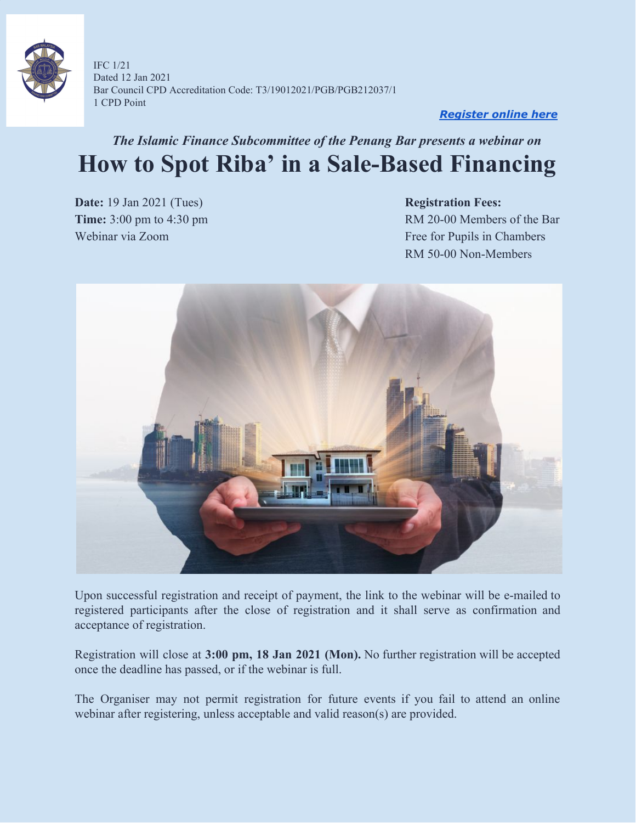

IFC 1/21 Dated 12 Jan 2021 Bar Council CPD Accreditation Code: T3/19012021/PGB/PGB212037/1 1 CPD Point

#### *[Register](https://forms.gle/EoeFu6BdDQCd4iSa9) online here*

## *The Islamic Finance Subcommittee of the Penang Bar presents a webinar on* **How to Spot Riba' in a Sale-Based Financing**

**Date:** 19 Jan 2021 (Tues) **Registration Fees:** 

**Time:** 3:00 pm to 4:30 pm Webinar via Zoom Free for Pupils in Chambers RM 50-00 Non-Members



Upon successful registration and receipt of payment, the link to the webinar will be e-mailed to registered participants after the close of registration and it shall serve as confirmation and acceptance of registration.

Registration will close at **3:00 pm, 18 Jan 2021 (Mon).** No further registration will be accepted once the deadline has passed, or if the webinar is full.

The Organiser may not permit registration for future events if you fail to attend an online webinar after registering, unless acceptable and valid reason(s) are provided.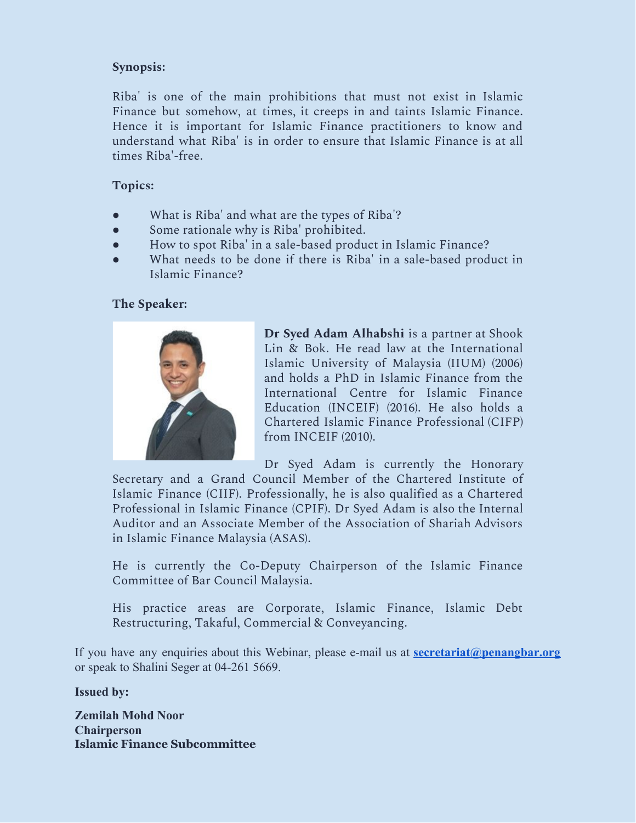#### **Synopsis:**

Riba' is one of the main prohibitions that must not exist in Islamic Finance but somehow, at times, it creeps in and taints Islamic Finance. Hence it is important for Islamic Finance practitioners to know and understand what Riba' is in order to ensure that Islamic Finance is at all times Riba'-free.

#### **Topics:**

- What is Riba' and what are the types of Riba'?
- Some rationale why is Riba' prohibited.
- How to spot Riba' in a sale-based product in Islamic Finance?
- What needs to be done if there is Riba' in a sale-based product in Islamic Finance?

#### **The Speaker:**



**Dr Syed Adam Alhabshi** is a partner at Shook Lin & Bok. He read law at the International Islamic University of Malaysia (IIUM) (2006) and holds a PhD in Islamic Finance from the International Centre for Islamic Finance Education (INCEIF) (2016). He also holds a Chartered Islamic Finance Professional (CIFP) from INCEIF (2010).

Dr Syed Adam is currently the Honorary Secretary and a Grand Council Member of the Chartered Institute of Islamic Finance (CIIF). Professionally, he is also qualified as a Chartered Professional in Islamic Finance (CPIF). Dr Syed Adam is also the Internal Auditor and an Associate Member of the Association of Shariah Advisors in Islamic Finance Malaysia (ASAS).

He is currently the Co-Deputy Chairperson of the Islamic Finance Committee of Bar Council Malaysia.

His practice areas are Corporate, Islamic Finance, Islamic Debt Restructuring, Takaful, Commercial & Conveyancing.

If you have any enquiries about this Webinar, please e-mail us at **[secretariat@penangbar.org](mailto:secretariat@penangbar.org)** or speak to Shalini Seger at 04-261 5669.

**Issued by:**

**Zemilah Mohd Noor Chairperson Islamic Finance Subcommittee**